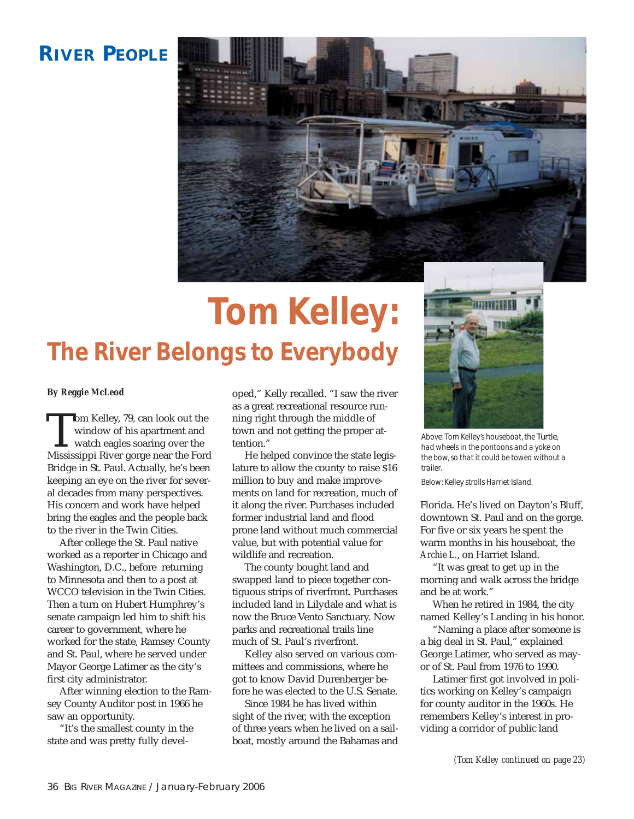## **RIVER PEOPLE**



## **Tom Kelley: The River Belongs to Everybody**



*Above: Tom Kelley's houseboat, the* Turtle*, had wheels in the pontoons and a yoke on the bow, so that it could be towed without a trailer.*

*Below: Kelley strolls Harriet Island.*

Florida. He's lived on Dayton's Bluff, downtown St. Paul and on the gorge. For five or six years he spent the warm months in his houseboat, the *Archie L.*, on Harriet Island.

"It was great to get up in the morning and walk across the bridge and be at work."

When he retired in 1984, the city named Kelley's Landing in his honor.

"Naming a place after someone is a big deal in St. Paul," explained George Latimer, who served as mayor of St. Paul from 1976 to 1990.

Latimer first got involved in politics working on Kelley's campaign for county auditor in the 1960s. He remembers Kelley's interest in providing a corridor of public land

*(Tom Kelley continued on page 23)*

## *By Reggie McLeod*

**The Kelley, 79, can look out the window of his apartment and watch eagles soaring over the Mississippi River gorge near the Ford Street Street Street Street Street Street Street Street Street Street Street Street Street S** window of his apartment and watch eagles soaring over the Mississippi River gorge near the Ford Bridge in St. Paul. Actually, he's been keeping an eye on the river for several decades from many perspectives. His concern and work have helped bring the eagles and the people back to the river in the Twin Cities.

After college the St. Paul native worked as a reporter in Chicago and Washington, D.C., before returning to Minnesota and then to a post at WCCO television in the Twin Cities. Then a turn on Hubert Humphrey's senate campaign led him to shift his career to government, where he worked for the state, Ramsey County and St. Paul, where he served under Mayor George Latimer as the city's first city administrator.

After winning election to the Ramsey County Auditor post in 1966 he saw an opportunity.

"It's the smallest county in the state and was pretty fully developed," Kelly recalled. "I saw the river as a great recreational resource running right through the middle of town and not getting the proper attention."

He helped convince the state legislature to allow the county to raise \$16 million to buy and make improvements on land for recreation, much of it along the river. Purchases included former industrial land and flood prone land without much commercial value, but with potential value for wildlife and recreation.

The county bought land and swapped land to piece together contiguous strips of riverfront. Purchases included land in Lilydale and what is now the Bruce Vento Sanctuary. Now parks and recreational trails line much of St. Paul's riverfront.

Kelley also served on various committees and commissions, where he got to know David Durenberger before he was elected to the U.S. Senate.

Since 1984 he has lived within sight of the river, with the exception of three years when he lived on a sailboat, mostly around the Bahamas and